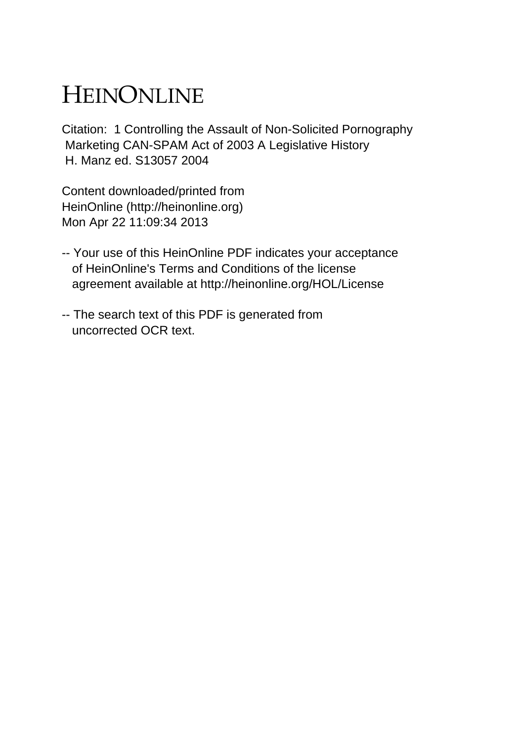# HEINONLINE

Citation: 1 Controlling the Assault of Non-Solicited Pornography Marketing CAN-SPAM Act of 2003 A Legislative History H. Manz ed. S13057 2004

Content downloaded/printed from HeinOnline (http://heinonline.org) Mon Apr 22 11:09:34 2013

- -- Your use of this HeinOnline PDF indicates your acceptance of HeinOnline's Terms and Conditions of the license agreement available at http://heinonline.org/HOL/License
- -- The search text of this PDF is generated from uncorrected OCR text.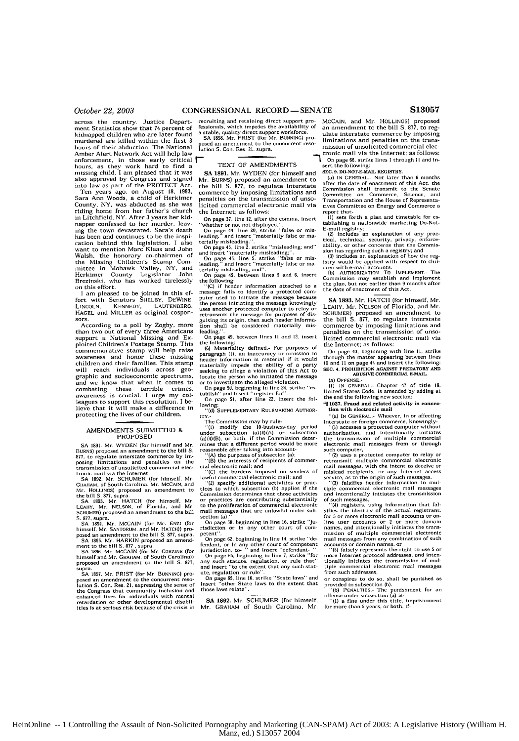across the country. Justice Department Statistics show that 74 percent of kidnapped children who are later found murdered are killed within the first **<sup>3</sup>** hours of their abduction. The National Amber Alert Network Act will help law enforcement, in those early critical<br>hours, as they work hard to find a<br>missing child. I am pleased that it was<br>also approved by Congress and signed<br>into law as part of the PROTECT Act.<br>Ten years ago, on August 18, 1933,<br>S

County, NY, was abducted as she was riding home from her father's church in Litchfield, NY. After 3 years her kidnapper confessed to her murder, leaving the town devastated. Sara's death has been and continues to be the inspiration behind this legislation. I also want to mention Marc Klaas and John Walsh, the honorary co-chairmen **of** the Missing Children's Stamp Com-<br>mittee in Mohawk Valley, NY, and<br>Herkimer County Legislator John<br>Brezinski, who has worked tirelessly on this effort.

I am pleased to be joined in this effort with Senators SHELBY, DEWINE, LINCOLN, KENNEDY, LAUTENBERG, **HAGEL** and MILLER as original cosponsors.

According to a poll by Zogby, more than two out of every three Americans support a National Missing and Ex-ploited Children's Postage Stamp. This commemorative stamp will help raise awareness and honor these missing children and their families. This stamp will reach individuals across **geo**graphic and socioeconomic spectrums. and we know that when it comes to combating these terrible crimes, awareness is crucial. **I** urge my colleagues to support this resolution. **I be-**lieve that it will make a difference in protecting the lives of our children.

### AMENDMENTS SUBMITTED & PROPOSED

**SA** 1891. Mr. WYDEN (for himself and Mr. **BURNS)** proposed an amendment to the bill S.<br> **877, to regulate interstate commerce by im-**<br>
posing limitations and penalties on the<br>
transmission of unsolicited commercial electronic mail via the Internet.

**SA 1892.** Mr. SCHUMER (for himself, Mr. GRAiAM, of South Carolina, Mr. **MCCAIN,** and Mr. HOLLINGS) proposed an amendment to

the bill **S. 877.** supra. SA 1893. Mr. HATCH (for himself, Mr. LEAHY. Mr. **NELSON. of** Florida. **and** Mr. SCHUMER) proposed an amendment to the bill

S. 877, supra.<br>
S. 877, supra.<br>
S. 871, S. M. McCAIN (for Mr. ENZI (for Minnself, Mr. SANTORUM. and Mr. HATCH)) pro-<br>
posed an amendment to the bill S. 877, supra.<br>
S. A 1895. Mr. HARKIN proposed an amend-<br>
ment to the bil

proposed an amendment **to** the **bill S. 877,** sopra. **SA** 1897. Mr. FRIST (for Mr. **BUNNN)** pro-

posed an amendment to the concurrent reso-<br>lution S. Con. Res. 21, expressing the sense of<br>the Congress that community inclusion and<br>enhanced lives for individuals with mental retardation or other developmental disabil-ities is at serious risk because of the crisis in recruiting and retaining direct support pro MCCAIN, and Mr. HOLLINGS) proposed<br>fessionals, which impedes the availability of an amendment to the bill S. 877, to reg-<br>a stable, quality direct support workforce.

SA 1898. Mr. FRIST (for Mr. BUNNING) pro-<br>
posed an amendment to the concurrent reso-<br>
intion S. Con. Res. 21, supra.<br>  $\frac{1}{2}$  mission of unsolicited commercial elec-

**SA 1891.** Mr. WYDEN (for himself and SEC. **9. DO-NOT-E-MAIL REGISTRY.**<br>Tr. BURNS) proposed an amendment to (a) IN GENERAL. Not later than 6 months.<br>L. L. II. G. 277 te a propose attention after the date of enactment of th the Internet; as follows:

Concerner, so root out also the comma, insert<br>
"whether or not not displayed,".<br>
On page 44. line 20, strike "false or mis-<br>
leading," and insert "materially false or ma-<br>
rerially misleading.".

leading." and insert "materially false or ma-<br>terrally misleading; and insert "materially false or ma-<br>terrally misleading; and".<br> $\frac{d}{dx}$  accounts. To the term with e-mail accounts.

research international access the date of enactment of this Act.<br>
message falls to theirity a protected com-<br>
the date of enactment of this Act.<br>
puter used to initiate the message because<br>
the person initiating the messag

meater information is inaterially impede the ability of a party 10 and 11 on pa<br>seeking to allege a violation of this Act to SEC. 4. PROHIBI<br>locate the person who initiated the message (a) OFFENSE.

or to investigate the alleged violation.<br>On page 50, beginning in line 24, strike "es-<br>tablieb" and insert "register for".

In a man unit of the state of the following new section:<br> **Con page 51, after line 22, insert the following the supplementation of the stated activity in connec-<br>
"(d) SUPPLEMENTARY RULEMAKING AUTHOR-<br>
"(d) SUPPLEMENTARY R** ving:<br>'(d) Supplementary Rulemaking Author-

or many times that the commission effect on the presence of the state and intentionally initiates<br>
(a)(4)(A) or subsection authorization, and intentionally initiates<br>
(a)(4)(B), or both, if the Commission determines that

(a) the interests of economic<br>cial electronic mail; and<br>
"(C) the burdens imposed on senders of<br>
lawful commercial electronic mail; and

or practices are contributing substantially of such messages, to *the* proliferation of commercial electronic ''(4) registers, using Information that fal-

fendant, or In any other court of competent accounts or domain names, or jurisdiction, to- ' and insert "defendant- ", "(5) falsely represents the right to use **5** or

and users to the extent that the state labels are the set of the set of the set of the set of the set of the set of the set of the set of the set of the set of the set of the set of the set of the set of the set of the set

SA 1892. Mr. SCHUMER (for himself, "(1) a fine under this title, if<br>Mr. GRAHAM of South Carolina, Mr. for more than 5 years, or both, if-

a stable, quality direct support workforce.<br>
SA 1898. Mr. FRIST (for Mr. BUNNING) pro- limitations and penalties on the transmessen of allotherica commercial view **I-** On page **66**, strike lines 1 through II and in-<br>iert the following: TEXT OF AMENDMENTS sert the following:<br>set the following:<br>sec. 9. DO-NOT-E-MAIL REGISTRY.

Mr. BURNS) proposed an amendment to (a) IN GENERAL.- Not later than 6 months<br>the bill 5. 877, to regulate interstate Commission shall transmit to the Senate the bill S. 871, to regulate interstate Commission shall transmit to the Senate<br>commerce by imposing limitations and Committee on Commerce, Science, and<br>nenalties on the transmission of unsopermission share craising to the Second<br>Committee on Commerce, Science,<br>Transportation and the House of Repres licited commercial electronic mail via ices Committee on Energy and Commerce a on page 11 and 20 and 20 and 20 and 20 and 20 and 20 and 20 and 20 and 20 and 20 and 20 and 20 and 20 and 20 and 20 and 20 and 20 and 20 and 20 and 20 and 20 and 20 and 20 and 20 and 20 and 20 and 20 and 20 and 20 and 20 a

"whether or not not displayed,", tablishing a nationwide marketing Do-Not-

leading." and insert "materially false or ma- (2) includes an explanation of any praccertaily misloading."<br>Con page 45, line 2, strike "misloading" and "ability, or other concerns that the Commis-<br>On page 45, line 2, strike "misleading; and" ability, or other concerns that the Commis-<br>and insert "materiall

sion has regarding such a registry; and<br>(3) includes an explanation of how the registry would be applied with respect to chi

chain marks and the S and 6, insert (b) AUTHORIZATION TO IMPLEMENT. The Olowing: the following: the following in major and the planet of Commission may establish and implement (c) if header information attached to a the pl

Compagne 49, between lines II and 12, insert licited commercial electronic mail via<br>the following:<br>(6) Materiality defined. For purposes of the Internet; as follows:<br>aparagraph (1), an inaccuracy or omission in the page 43

January of the matter appearing between the comparison of the matter appearing between lines<br>materially impede the oblity of a party 10 and 11 on page 44 and insert the following:<br>seeking to allege a violation of this Act

(1) IN GENERAL.- Chapter 47 of title 18,<br>United States Code, is amended by adding at tablish" and Insert ''register for". United States Code, is amended by adding at On page **51,** after line 22, insert the fol- the end the following new section:

The Commission may by rule-<br>
The Commission may by rule-<br>
(1) modify the 10-business-day period "(1) accesses a protected computer without"

(b) the interests of recipients of commer-<br>cial electronic multiple commercial electronic<br>in the interests of recipients of commer-<br>inisland recipients, or any Internet access<br>inisland recipients, or any Internet access

and contribution and criticial activities or practices to the origin of the media criticial activities or practices to the criticial activities or practices to which subsection (b) applies if the tiple commercial electroni

for the production of continuencial electronic<br>mail messages that are unlawful under sub-<br>sifies the identity of the actual registrant.<br>section (a)."<br>On page 58, beginning in line 16, strike "ju- line user accounts or to a petent". mission of multiple commercial electronic On page *62,* beginning in line 14, strike "de- mail messages from any combination of such

The page is, beginning in line 7, strike "for more internet protocol addresses, and inten-<br>any such statute, regulation, or rule that" tionally initiates the transmission of mul-<br>and insert "to the extent that any such sta

those laws relate".<br> **SA 1892.** Mr. SCHUMER (for himself, **"(b) PENALTIES.** The punishment for an<br>
offense under subsection (a) is-<br>
"(i) a fine under this title, imprisonment

ITY.- -(a) **IN GENERAL.-** Whoever, in or affecting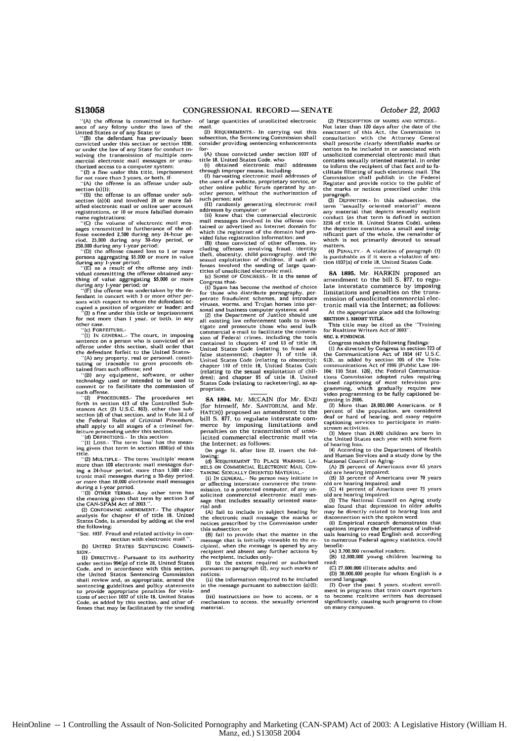**"(A)** the offense Is committed in further- of large quantities of unsolicited electronic mite of **any** felony under the laws of the mail.

mercial electronic mail messages or unauthorized access to a computer system: (i) obtained electronic mail addresses<br>(2) a fine under this title, Imprisonment through improper means. including-

**"** (B) the offense is an offense under sub- other person. without the authorization of section (a)(4) and Involved 20 or more fal- such person; and section (a)(4) and involved 20 or more fal-<br>sified electronic mail or online user account (III) randomly generating electronic mail<br>registrations; or 10 or more falsified domain addresses by computer; or<br>name registrations registrations, or 10 or more falsified domain

Sages transmitted in furtherance of the of- Cine advertised an Internet domain for<br>sages transmitted in furtherance of the of- Cine advertised an Internet domain for<br>fense exceeded 2.500 during any 24-hour pe- which the re Signs exceeded 2.500 during any 24-hour pe. which the registrant of the domain had pro-<br>fense exceeded 2.500 during any 34-hour pe. vided false registration information; and<br>riod, 250,000 during any 1-year period;  $\frac{1}{1$ 

vidual committing the offense obtained any<br>thing of value aggregating \$5,000 or more<br>during any 1-year period; or<br>during any 1-year period; or

Ferture of the curse was studented and position of organizer or leader of the per-<br>sons with respect to whom the defendant oc-<br>cupied a position of organizer or leader; and<br>(3) a fine under this title or imprisonment<br>for n

**The defendant for out observed**, such out of the United States (A) any property, real or personal. constituting or traceable to gross proceeds ob-

Such offense.<br>
Such offense.<br>
"(2) PROCEDURES.- The procedures set SA 1894. Mr. MCCAIN (for Mr. ENZ<br>
forch in section 413 of the Controlled Sub-<br>
stances Act (21 U.S.C. 833), other than sub-<br>
for himself, Mr. SANTORUM, and section (d) of that section, and in Rule 32.2 of HATCH)) proposed an amendment to the<br>the Federal Rules of Criminal Procedure, bill S. 877, to regulate interstate com-<br>shall apply to all stages of a criminal for- merce by

COMMUNIFIELD The term 'multiple' means<br>
(d) REQUIREMENT TO PLACE WARNING LA-<br>
ing a 24-hour period, more than 1,000 elec-<br>
rapid a 24-hour period, more than 1,000 elec-<br>
rapid, CERING SEXUALLY ORIENTED MATERIAL.<br>
tronic m

(i) DIRECTIVE - Pursuant to its authority the recipient includes only-<br>under section 994(p) of title 28, United States (i) to the extent required or authorized<br>Code, and in accordance with this section, pursuant to paragra the United States Sentencing Commission notices:<br>shall review and, as appropriate, amend the (ii) the information required to be included<br>sentencing guidelines and policy statements in the message pursuant to subsection (a Code, as added **by** this section. and other of- mechanism to access, the sexually oriented fenses that may be facilitated **by** the sending material.

United States or of any State; or (2) REQUIREMENTS.- In carrying out this<br>''(B) the defendant has previously been subsection, the Sentencing Commission shall<br>convicted under this section or section 1030, consider providing or coder the defendant has previously been subsection, the Sentencing Commission shall<br>
conducted under this section or section 1030, consider providing sentencing enhancements<br>
or under the law of any State for conduct in

for-<br>(A) those convicted under section 1037 of<br>title 18. United States Code. who-<br>(i) obtained electronic mail addresses

for ideal access to a computer system;<br>
"(2) a fine under this title, imprisonment through improper means, including<br>
for not more than 3 years, or both, if-<br>
(1) harvesting electronic mail addresses of<br>
(A) the offense is '(A) the offense **is** an offense oder **sob-** the users of a website, proprietary service, or section (a)(l); other online public forum operated **by** an-

ence that the commercial electronic<br>
"(C) the volume of electronic mail mes- mail messages involved in the offense con-<br>
"(C) the volume of electronic mail mes-<br>
tained or advertised an Internet domain for

cous during any 1-year period.<br>
The caused loss to 1 or more cluding offenses involving fraud, identity<br>  $(0)$  the offense caused loss to 1 or more in value theft, observing the sexual exploitation of children, if such of

during any local periodicity of **periodicity** congress that<br> **Congress that** 

 $\text{Tr}(\vec{F})$  the offense was undertaken by the de-<br>for those who distribute pornography, perfendant in concert with 3 or more other perfect of the sons with respect to whom the defendant oc-<br>sons with respect to whom the sonal and business computer systems; and<br>(2) the Department of Justice should use

For not more than 1 year, or both, in any all existing law enforcement tools to investment case.<br>  $\frac{1}{2}$  to PORFETURE.<br>  $\frac{1}{2}$  (c) FORFERITURE.<br>  $\frac{1}{2}$  in any commercial email to facilitate the commis-<br>  $\frac{1}{2}$ exercise to the person who is convicted of an contrained in chapters 47 and 63 of title 18,<br>offense under this section, shall order that United States Code (relating to fraud and<br>the defendant forfeit to the United States-(A) any property, real or personal, constitent to distance of the chapter 110 of title 18, United States Code (relating to obscenity);<br>tained from such offense: and<br>tained from such offense: and chapter 110 of title 18, United States Code<br>tained from such offense; and<br>(relating to the state of the code in the sexual exploitation of chil-<br>(B) any equipment, software, or other drep); and chapter 95 of title 18. Unit **the set of the conduct of the code (relating to the sexual exploitation of child technology used or intended to be used to commit or to facilitate the commission of propriate.<br>
<b>the commit or to facilitate the commission** 

(for himself, Mr. SANTORUM, and Mr. HATCH)) proposed an amendment to the bill S. 877, to regulate interstate com-Exercise of a criminal for-<br>merce by imposing limitations and<br>shall apply to all stages of a criminal for-<br>merce this section.<br>(a) DeFiNITIONS.- In this section:<br>(a) Licited commercial electronic mail via<br> $\frac{1}{100}$  given

or attention in the main of the main of the main of the main of the main of the main of the main of the main of the main of the main of the main of the main of the main of the main of the main of the main of the main of th He meaning given that term by section 3 of sage that includes sexually oriented mate-<br>16 CAN-SPAM Act of 2003."<br>(2) CONFORMING AMENDMENT.- The chapter (A) fail to include in subject heading for

analysis for chapter **47** of title **18.** United the electronic mail message the marks or<br>States Code, is amended by adding at the end  $\frac{1}{\sqrt{1-\frac{1}{1-\alpha}}}$  are electronic mail message the marks of analysis for chapter 47 of title 18. United the electronic mail message the marks or<br>States Code, is amended by diding at the end the electronic mail message the marks or<br>the following:<br>this subsection: or

"Sec. 1037. Fraud and related activity in concerned (B) [ail to provide that the matter in the nection with electronic mail.". The message that is initially viewable to the re-<br>(b) UNITED STATES SENTENCING COMMIS-<br>sion.-<br>s

Manz, ed.) S13058 2004

(2) PRESCRIPTION OF MARKS AND NOTICES.<br>Not later than 120 days after the date of the<br>enactment of this Act, the Commission in<br>consultation with the Attorney General<br>shall prescribe clearly identifiable marks or<br>notices to unsolicited commercial electronic mail that contains sexually oriented material. in order to inform the recipient **of** that fact and to facilitate filtering of such electronic mail. The Commission shall publish in tIre Federal Register **and** provide notice to the public of the marks or notices prescribed under this paragraph. (3) DEFINITION- In this subsection. the

term "sexually oriented material" means any material that depicts sexually explicit conduct (as that term is defined in section **2256** of title **18,** United States Code), unless the depiction constitutes a small and insignificant part of the whole, the remainder of which is not primarily devoted to sexual matters.

(4) PENALTY.- A violation of paragraph (1) punishable as if it were a violation of secis punishable as if it were a violation of *sec-*tion 1037(a) of title 18, United States Code.

**SA 1895.** Mr. HARKIN proposed an amendment to the bill **S.** 877, to regulate interstate commerce by imposing limitations and penalties on the trans-mission of unsolicited commercial electronic mail via the Internet; as follows: At the appropriate place add the following:

**SECTION 1. SHOHT TITLE.** This title may be cited as the "Training for Realtime Writers Act of **2003".**

**SEC. 2.** FINDINGS.

Congress makes the following findings: (11 As directed by Congress in section **723** of the Communications Act of 1934 **(47** U.S.C. 613), as added by section 305 of the Tele-<br>communications Act of 1996 (Public Law 104-<br>104; 110 Stat. 126), the Federal Communica-<br>106; 100 Stat. 126), the Federal Communica-<br>closed captioning of most television pro-<br>gramm

Figure 1006.<br>
(2) More than 28,000.000 Americans, or 8<br>
(2) More than 28,000.000 Americans, or 8<br>
percent of the population, are considered<br>
deaf or hard of hearing, and many require<br>
captioning services to participate in

of hearing loss. (4) According to the Department of Health

**(A)** *Ancienal* Burke and a study done by the National Council on Aging-<br>(A) 25 percent of Americans over 65 years old are hearing impaired:<br>(A) 25 percent of Americans over 70 years of 81 33 accent of Americans over 70 y

old are hearing Impaired; and **(C)** 41 percent of Americans over **75** years old are hearing impaired.

**(5)** The National Council on Aging study also found that depression in older adults may be directly related to hearing loss and disconnection with the spoken word. **(6)** Empirical research demonstrates that

captions improve the performance **of** individ-uals learning to read Engish and, according to numerous Federal agency statistics, could benefit-

nerre-<br>(A) 3,700,000 remedial readers;<br>(B) 12,000,000 young children learning to

read;

(C) **27,00,000** illiterate adults; and **(D)** 30,000,000 people for whom English is a second language.

**(7)** Over the past **5** years, student enroll-ment in prograns that train court reporters to become realtime writers has decreased significantly, causing such programs to close many campuses

*October 22,* 2003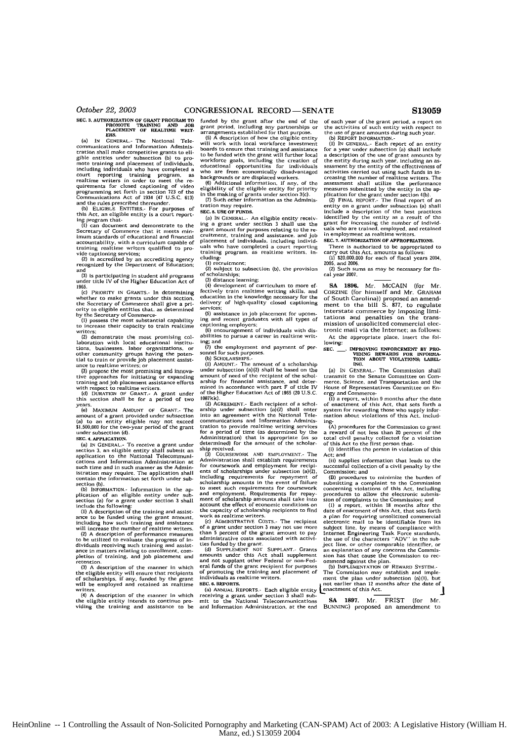October 22, **2003** CO

## **SEC. 3. AUTHORIZATION OF GRANT PROGRAM TO PROMOTE <b>TRAINING** AND **JOB PLACEMENT** OF REALTIME WRIT-

**(a)** IN GENERAL- The National **Tele-**communications and Information Adminiscration shall make competitive grants to eli- gible entities under subseetion **(b)** to pro-mote training and placement of individuals. including individuals who have completed a court reporting training program, as<br>realtime writers in order to meet the rerealtime writers in order to meet the re-<br>quirements for closed captioning of video<br>programming set forth in section 723 of the<br>Communications Act of 1334 (47 U.S.C. 613)<br>and the rules prescribed thereunder.<br>(b) ELIGIELE E

Secretary or Conitnerce that it neers min imuni standards **of** educational and financial accountability, with a curriculum capable of training realtime writers qualified to pro-

vide captioning services;<br>vide captioning services;<br>(2) is accredited by an accrediting agency recognized by the Department of Education; and

(3) is participating in student aid programs under title IV of the Higher Education Act of

**1965. (C)** PRIORITY IN **GRANTS.-** In determining whether to make grants under this section.<br>the Secretary of Commerce shall give a pri-<br>ority to eligible entities that, as determined<br>by the Secretary of Commerce-<br>(1) possess the most substantial capability

to increase their capacity to train realtime writers

(2) demonstrate the most promising col-laboration with local educational institu-tions, businesses labor organizations, or other community groups having the potential to train or provide job placement assist-<br>ance to realtime writers; or<br>(3) propose the most promising and innova-

tive approaches for initiating or expanding<br>training and job placement assistance efforts<br>with respect to realtime writers.<br>(d) DURATION OF CRANT.- A grant under<br>this section shall be for a period of two

years. **(e)** MAXIMUM AMOUNT OF GRANT.- The amount of a grant provided under subsection (a) to an entity eligible may not exceed **\$1,500,000** for the two-year period of the grant under subsection **(d).**

**SEC.** 4. **APPLICATION.**

(a) IN **GENERAL.-** To receive a grant under section 3, an eligible entity shall submit an application to the National Telecommunications and Information Administration at such time and in such manner as the Admin. istration may require. The application shall contain the information set forth under sub-

section **(b)**.<br>INFORMATION- Information in the ap-

of invokance. The eligible entry under sub-<br>section of an eligible entry under sub-<br>include the following:<br>(i) A description of the training and assist-<br>ance to be funded using the grant amount.<br>including how such training

to be utilized to evaluate the progress of **in-**dividuals receiving such training and assist-ance in matters relating to enrollment, com- pletion of training, and **job** placement and

.<br>retention<br>۵۱ ۸ ۵۰ (3) A description of the manner in which the eligible entity will ensure that recipients of scholarships. if any. funded by the grant will be employed and retained as realtime writers.

(4) A description of the manner in which the eligible entity intends to continue pro-viding the training and assistance to be

**NGRESSIONAL** RECORD-SENATE funded by the grant after the end of the grant period, including any partnerships or arrangements established for that purpose.<br>(5) A description of how the eligible entity

**(5)** A description of how the eligible entity will work with **local** workforce investment boards to ensure that training and assistance to be funded with the grant will further local workforce goals, including the creation of educational opportunities for individuals who *are* from economically disadvantaged

backgrounds or are displaced workers.<br>
(6) Additional information, if any, of the<br>
eligibility of the eligible entity for priority<br>
in the making of grants under section 3(c).<br>
(7) Such other information as the Adminis-

tration may require.

**SEC. 5. USE** OF **FURNDS.**

(a) **IN GENERAL.-** An eligible entity receiving a grant under section 3 shall use the grant amount for purposes relating to the re- cruitment, training and assistance, and Job placement of individuals. including individuals who have completed a court reporting training program, as realtime writers, including- **(1)** recruitment:

(2) subject to subsection **(b),** the provision of scholarships; (3) distance learning; (4) development of curriculum to more ef

fectively train realtime writing skills, and education in the knowledge necessary for the delivery of high-quality closed captioning services;

**(5)** assistance in job placement for upcom-ing and recent graduates with all types of captioning employers

**(6)** encouragement of individuals with dis-abilities to pursue a career in realtime writ. ing; and **(7)** the employment and payment of per-

sonnel for such purposes. **(b) SCHIOLARSHIPS.**

**(1)** AMOUNT.- The amount of a scholarship

under subsection (a)(2) shall be based on the<br>amount of need of the recipient of the schol-<br>arship for financial assistance, and deter-<br>mined in accordance with part F of title IV<br>of the Higher Education Act of 1965 (20 U. 1087kk).<br>(2) ACREEMENT.- Each recipient of a schol-

arship under subsection (a)(<sup>2</sup> ) shall enter into an agreement with the National Tele-communications and Information Administration to provide realtime writing services for a period of time (as determined **by** the Administration) that is appropriate (as so determined) for the amount of the scholarship received.<br>(3) COURSE

**(3)** COURSEWORK AND EMPLOYMENT- The Administration shall establish requirements for coursework and employment for recipients<br>of scholarships under subsection (a)(2),<br>including requirements for repayment of<br>scholarship amounts in the event of failure<br>to meet such requirements for coursework<br>and employm **the** capacity of scholarship recipients to find work as realtime writers. (c) ADMINSTRATIVE **COSTS.-** The recipient

of a grant under section 3 may not use more<br>than 5 percent of the grant amount to pay<br>administrative costs associated with activi-<br>ties funded by the grant.<br>(d) SupperLeMENT NOT SUPPLANT.- Grants<br>amounts under this Act sha

and not supplant other Federal or non-Fed-<br>eral funds of the grant recipient for purposes<br>of promoting the training and placement of<br>individuals as realtime writers. **SEC. 6.** REPORTS.

**SEC. CONTERTS.**<br>Cal ANNUAL REPORTS.- Each eligible entity receiving a grant under section 3 shall sub-<br>mit to the National Telecommunications<br>and Information Administration at the end

of each year of the grant period, a report on the activities of such entity with respect to

the use of grant amounts during such year.<br>(b) REPORT INFORMATION.-<br>(1) IN GENERAL.- Each report of an entity<br>for a year under subsection (a) shall include a description of the use of grant amounts by **the** entity during such year, including an **as-**sessment by the entity of **the** effectiveness of

activities carried out using such funds in in-<br>actionstrates carried out using such funds in measures submitted by the energy in measures submitted by the entity in the application for the grant under section 4(b). The fin

There is authorized to **be** appropriated to carry out this Act, amounts as follows: **(1)** \$20,000,000 for each of fiscal years 2004,

**2005,** and **2006.** (2) Such sums as may **be** necessary for fis-**cal** year 2001.

SA 1896. Mr. McCAIN (for Mr. CORZINE (for himself and Mr. GRAHAM of South Carolina)) proposed an amend-ment to the bill **S. 877,** to regulate interstate commerce by imposing limitations *and* penalties on the trans-mission of unsolicited commercial electronic mail via the Internet; as follows;

At the appropriate place. Insert the following:

### **SEC. .** IMPROVING **ENFORCEMENT** BY PRO. VIDING REWARDS FOR INFOHM.A. **TiON** ABOUT **VIOLATIONS;** LABEL-*ING.*

(a) IN GENERAL.- The Commission shall transmit to the Senate Committee on Commerce, Science, and Transportation and the House of Representatives Committee on En-

ergy and Commerce-<br>
(1) a report, within 9 months after the date<br>
of enactment of this Act, that sets forth a<br>
system for rewarding those who supply infor-<br>
mation about violations of this Act, includ-

ing- (A) procedures for the Commission to grant a reward of not less than 20 percent of the total civil penalty collected for a violation of this Act to the first person that-

(I) identifies the person **in** violation of this Act; and (in) supplies information that leads to the

successful collection of a civil penalty by the Commission: and

**(B)** procedures to minimize the burden of submitting a complaint to the Commission<br>concerning violations of this Act, Including<br>procedures to allow the electronic submis-<br>ion of complaints to the Commission; and<br>(1) a report, within 18 months after the

date of enactment of this Act, that sets forth a plan for requiring unsolicited commercial electronic mail to be identifiable from its subject line, by means of compliance with<br>Internet Engineering Task Force standards,<br>the use of the characters "ADV" in the sub-<br>ject line, or other comparable identifier, or *an* explanation of any concerns the Commis-sion has that cause the Commission to rec-ommend against the plan.

**(b) IMPLEMENTATION** OF REWARD SYSTEM.- The Commission may establish and imple-ment the plan under subsection (a)(1), but ment the plan under subsection (a)(1), but<br>not earlier than 12 months after the date of<br>enactment of this Act.

**SA 1897.** Mr. FRIST (for Mr. BUNNING) proposed an amendment to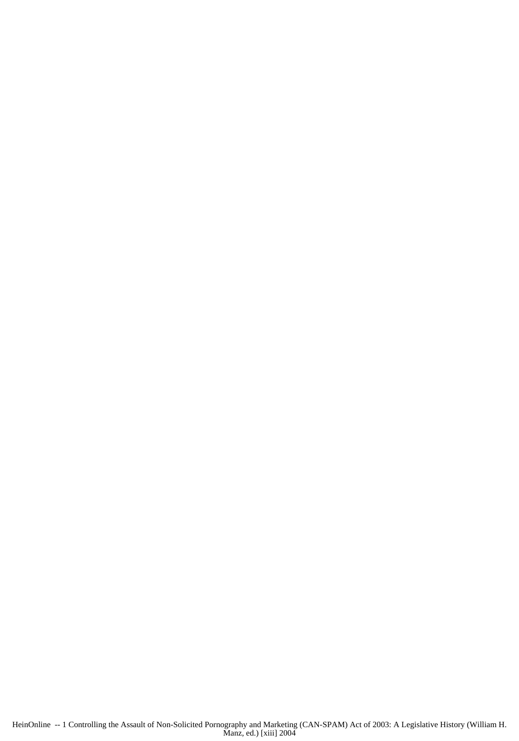HeinOnline -- 1 Controlling the Assault of Non-Solicited Pornography and Marketing (CAN-SPAM) Act of 2003: A Legislative History (William H. Manz, ed.) [xiii] 2004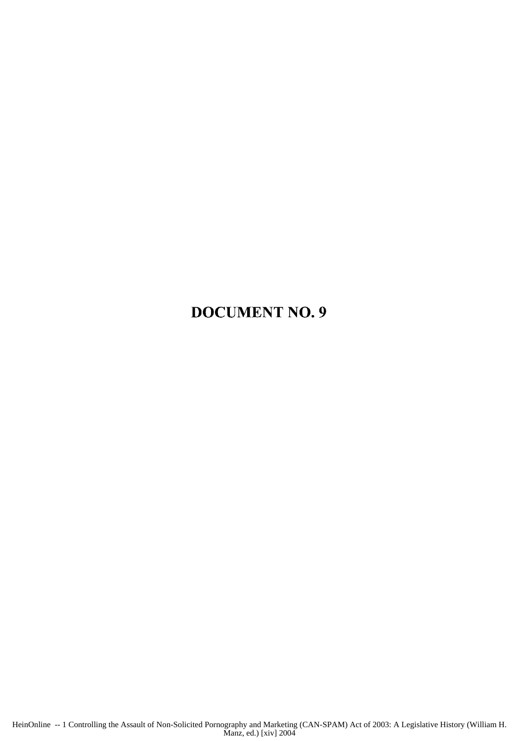## DOCUMENT NO. **9**